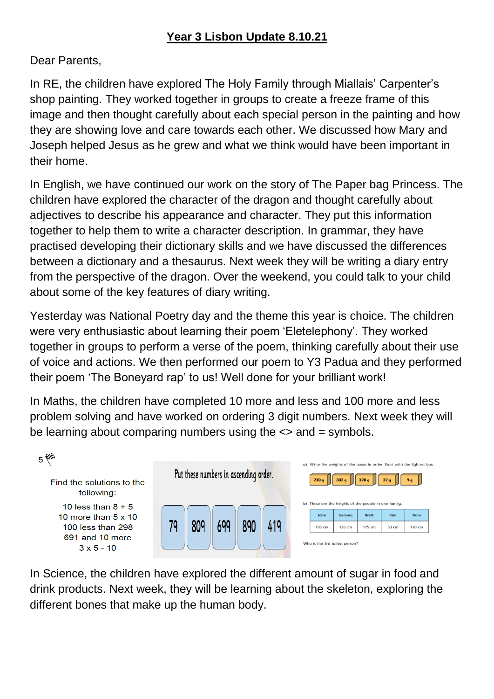#### **Year 3 Lisbon Update 8.10.21**

Dear Parents,

In RE, the children have explored The Holy Family through Miallais' Carpenter's shop painting. They worked together in groups to create a freeze frame of this image and then thought carefully about each special person in the painting and how they are showing love and care towards each other. We discussed how Mary and Joseph helped Jesus as he grew and what we think would have been important in their home.

In English, we have continued our work on the story of The Paper bag Princess. The children have explored the character of the dragon and thought carefully about adjectives to describe his appearance and character. They put this information together to help them to write a character description. In grammar, they have practised developing their dictionary skills and we have discussed the differences between a dictionary and a thesaurus. Next week they will be writing a diary entry from the perspective of the dragon. Over the weekend, you could talk to your child about some of the key features of diary writing.

Yesterday was National Poetry day and the theme this year is choice. The children were very enthusiastic about learning their poem 'Eletelephony'. They worked together in groups to perform a verse of the poem, thinking carefully about their use of voice and actions. We then performed our poem to Y3 Padua and they performed their poem 'The Boneyard rap' to us! Well done for your brilliant work!

In Maths, the children have completed 10 more and less and 100 more and less problem solving and have worked on ordering 3 digit numbers. Next week they will be learning about comparing numbers using the <> and = symbols.



In Science, the children have explored the different amount of sugar in food and drink products. Next week, they will be learning about the skeleton, exploring the different bones that make up the human body.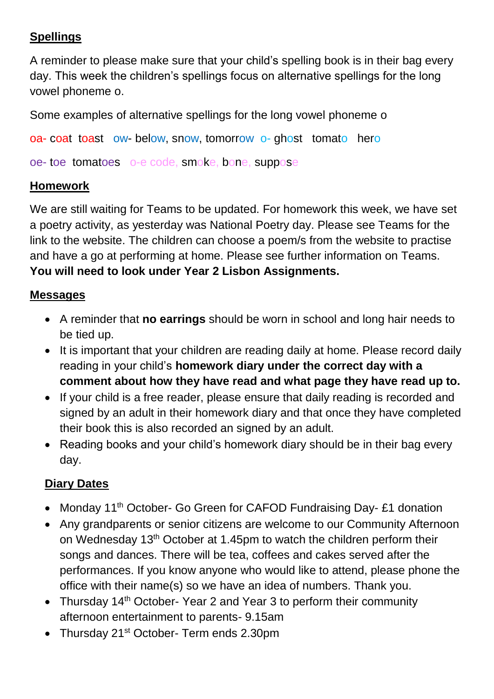### **Spellings**

A reminder to please make sure that your child's spelling book is in their bag every day. This week the children's spellings focus on alternative spellings for the long vowel phoneme o.

Some examples of alternative spellings for the long vowel phoneme o

oa- coat toast ow- below, snow, tomorrow o- ghost tomato hero

oe- toe tomatoes o-e code, smoke, bone, suppose

#### **Homework**

We are still waiting for Teams to be updated. For homework this week, we have set a poetry activity, as yesterday was National Poetry day. Please see Teams for the link to the website. The children can choose a poem/s from the website to practise and have a go at performing at home. Please see further information on Teams. **You will need to look under Year 2 Lisbon Assignments.**

#### **Messages**

- A reminder that **no earrings** should be worn in school and long hair needs to be tied up.
- It is important that your children are reading daily at home. Please record daily reading in your child's **homework diary under the correct day with a comment about how they have read and what page they have read up to.**
- If your child is a free reader, please ensure that daily reading is recorded and signed by an adult in their homework diary and that once they have completed their book this is also recorded an signed by an adult.
- Reading books and your child's homework diary should be in their bag every day.

## **Diary Dates**

- Monday 11<sup>th</sup> October- Go Green for CAFOD Fundraising Day- £1 donation
- Any grandparents or senior citizens are welcome to our Community Afternoon on Wednesday 13th October at 1.45pm to watch the children perform their songs and dances. There will be tea, coffees and cakes served after the performances. If you know anyone who would like to attend, please phone the office with their name(s) so we have an idea of numbers. Thank you.
- Thursday 14<sup>th</sup> October- Year 2 and Year 3 to perform their community afternoon entertainment to parents- 9.15am
- Thursday 21<sup>st</sup> October- Term ends 2.30pm